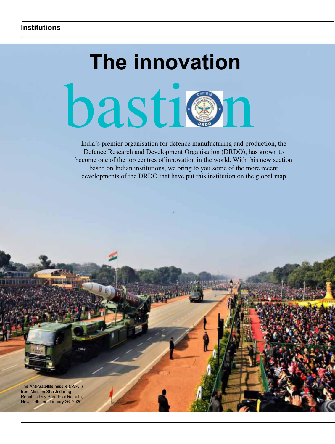# **The innovation** basti@n

India's premier organisation for defence manufacturing and production, the Defence Research and Development Organisation (DRDO), has grown to become one of the top centres of innovation in the world. With this new section based on Indian institutions, we bring to you some of the more recent developments of the DRDO that have put this institution on the global map

The Anti-Satellite missile (ASAT) from Mission Shakti during Republic Day Parade at Rajpath, New Delhi, on January 26, 2020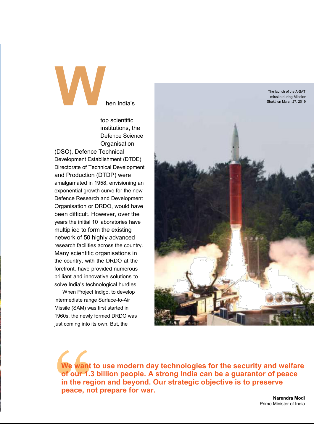**W**hen India'<sup>s</sup>

top scientific institutions, the Defence Science **Organisation** 

(DSO), Defence Technical Development Establishment (DTDE) Directorate of Technical Development and Production (DTDP) were amalgamated in 1958, envisioning an exponential growth curve for the new Defence Research and Development Organisation or DRDO, would have been difficult. However, over the years the initial 10 laboratories have multiplied to form the existing network of 50 highly advanced research facilities across the country. Many scientific organisations in the country, with the DRDO at the forefront, have provided numerous brilliant and innovative solutions to solve India's technological hurdles.

When Project Indigo, to develop intermediate range Surface-to-Air Missile (SAM) was first started in 1960s, the newly formed DRDO was just coming into its own. But, the



**We want to use modern day technologies for the security and welfare of our 1.3 billion people. A strong India can be a guarantor of peace in the region and beyond. Our strategic objective is to preserve peace, not prepare for war.**

> **Narendra Modi** Prime Minister of India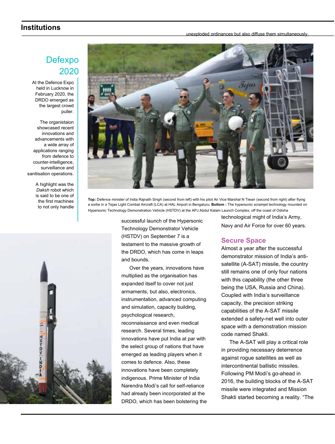## **Institutions**

unexploded ordinances but also diffuse them simultaneously.

# Defexpo 2020

At the Defence Expo held in Lucknow in February 2020, the DRDO emerged as the largest crowd puller.

The organistaion showcased recent innovations and advancements with a wide array of applications ranging from defence to counter-intelligence, surveillance and sanitisation operations.

> A highlight was the *Daksh* robot which is said to be one of the first machines to not only handle





**Top:** Defence minister of India Rajnath Singh (second from left) with his pilot Air Vice Marshal N Tiwari (second from right) after flying a sortie in a Tejas Light Combat Aircraft (LCA) at HAL Airport in Bengaluru; **Bottom :** The hypersonic scramjet technology mounted on Hypersonic Technology Demonstration Vehicle (HSTDV) at the APJ Abdul Kalam Launch Complex, off the coast of Odisha

successful launch of the Hypersonic Technology Demonstrator Vehicle (HSTDV) on September 7 is a testament to the massive growth of the DRDO, which has come in leaps and bounds.

Over the years, innovations have multiplied as the organisation has expanded itself to cover not just armaments, but also, electronics, instrumentation, advanced computing and simulation, capacity building, psychological research, reconnaissance and even medical research. Several times, leading innovations have put India at par with the select group of nations that have emerged as leading players when it comes to defence. Also, these innovations have been completely indigenous. Prime Minister of India Narendra Modi's call for self-reliance had already been incorporated at the DRDO, which has been bolstering the technological might of India's Army, Navy and Air Force for over 60 years.

### **Secure Space**

Almost a year after the successful demonstrator mission of India's antisatellite (A-SAT) missile, the country still remains one of only four nations with this capability (the other three being the USA, Russia and China). Coupled with India's surveillance capacity, the precision striking capabilities of the A-SAT missile extended a safety-net well into outer space with a demonstration mission code named Shakti.

The A-SAT will play a critical role in providing necessary deterrence against rogue satellites as well as intercontinental ballistic missiles. Following PM Modi's go-ahead in 2016, the building blocks of the A-SAT missile were integrated and Mission Shakti started becoming a reality. "The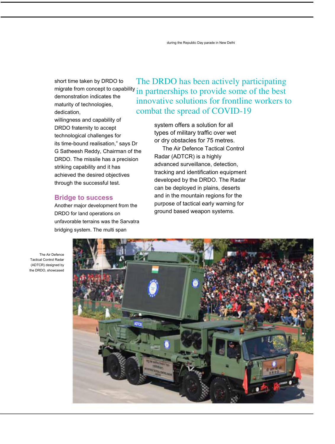during the Republic Day parade in New Delhi

short time taken by DRDO to demonstration indicates the maturity of technologies, dedication,

willingness and capability of DRDO fraternity to accept technological challenges for its time-bound realisation," says Dr G Satheesh Reddy, Chairman of the DRDO. The missile has a precision striking capability and it has achieved the desired objectives through the successful test.

#### **Bridge to success**

Another major development from the DRDO for land operations on unfavorable terrains was the Sarvatra bridging system. The multi span

migrate from concept to capability in partnerships to provide some of the best The DRDO has been actively participating innovative solutions for frontline workers to combat the spread of COVID-19

> system offers a solution for all types of military traffic over wet or dry obstacles for 75 metres.

The Air Defence Tactical Control Radar (ADTCR) is a highly advanced surveillance, detection, tracking and identification equipment developed by the DRDO. The Radar can be deployed in plains, deserts and in the mountain regions for the purpose of tactical early warning for ground based weapon systems.

The Air Defence Tactical Control Radar (ADTCR) designed by the DRDO, showcased

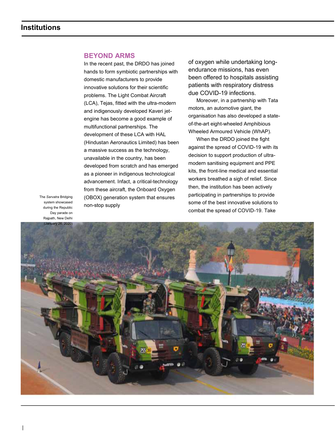#### **BEYOND ARMS**

In the recent past, the DRDO has joined hands to form symbiotic partnerships with domestic manufacturers to provide innovative solutions for their scientific problems. The Light Combat Aircraft (LCA), Tejas, fitted with the ultra-modern and indigenously developed Kaveri jetengine has become a good example of multifunctional partnerships. The development of these LCA with HAL (Hindustan Aeronautics Limited) has been a massive success as the technology, unavailable in the country, has been developed from scratch and has emerged as a pioneer in indigenous technological advancement. Infact, a critical-technology from these aircraft, the Onboard Oxygen (OBOX) generation system that ensures non-stop supply

of oxygen while undertaking longendurance missions, has even been offered to hospitals assisting patients with respiratory distress due COVID-19 infections.

Moreover, in a partnership with Tata motors, an automotive giant, the organisation has also developed a stateof-the-art eight-wheeled Amphibious Wheeled Armoured Vehicle (WhAP).

When the DRDO joined the fight against the spread of COVID-19 with its decision to support production of ultramodern sanitising equipment and PPE kits, the front-line medical and essential workers breathed a sigh of relief. Since then, the institution has been actively participating in partnerships to provide some of the best innovative solutions to combat the spread of COVID-19. Take

The *Sarvatra* Bridging system showcased during the Republic Day parade on Rajpath, New Delhi (January 26, 2020)